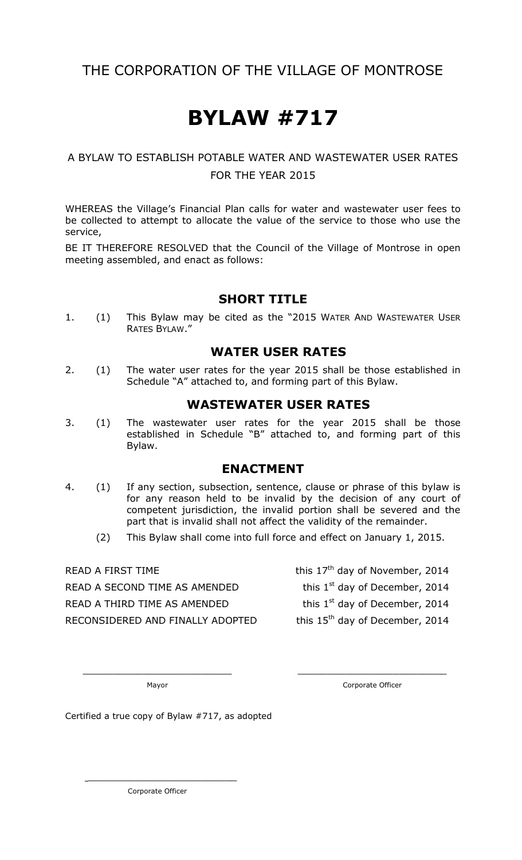## THE CORPORATION OF THE VILLAGE OF MONTROSE

# **BYLAW #717**

#### A BYLAW TO ESTABLISH POTABLE WATER AND WASTEWATER USER RATES FOR THE YEAR 2015

WHEREAS the Village's Financial Plan calls for water and wastewater user fees to be collected to attempt to allocate the value of the service to those who use the service,

BE IT THEREFORE RESOLVED that the Council of the Village of Montrose in open meeting assembled, and enact as follows:

#### **SHORT TITLE**

1. (1) This Bylaw may be cited as the "2015 WATER AND WASTEWATER USER RATES BYLAW."

#### **WATER USER RATES**

2. (1) The water user rates for the year 2015 shall be those established in Schedule "A" attached to, and forming part of this Bylaw.

#### **WASTEWATER USER RATES**

3. (1) The wastewater user rates for the year 2015 shall be those established in Schedule "B" attached to, and forming part of this Bylaw.

#### **ENACTMENT**

4. (1) If any section, subsection, sentence, clause or phrase of this bylaw is for any reason held to be invalid by the decision of any court of competent jurisdiction, the invalid portion shall be severed and the part that is invalid shall not affect the validity of the remainder.

\_\_\_\_\_\_\_\_\_\_\_\_\_\_\_\_\_\_\_\_\_\_\_\_\_ \_\_\_\_\_\_\_\_\_\_\_\_\_\_\_\_\_\_\_\_\_\_\_\_\_

(2) This Bylaw shall come into full force and effect on January 1, 2015.

READ A SECOND TIME AS AMENDED READ A THIRD TIME AS AMENDED RECONSIDERED AND FINALLY ADOPTED this 15<sup>th</sup> day of December, 2014

READ A FIRST TIME  $t^{\text{th}}$  this 17<sup>th</sup> day of November, 2014

this  $1<sup>st</sup>$  day of December, 2014

this  $1<sup>st</sup>$  day of December, 2014

Mayor **Mayor** Corporate Officer

Certified a true copy of Bylaw #717, as adopted

Corporate Officer

\_\_\_\_\_\_\_\_\_\_\_\_\_\_\_\_\_\_\_\_\_\_\_\_\_